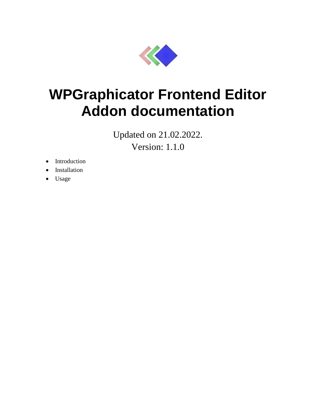

# **WPGraphicator Frontend Editor Addon documentation**

Updated on 21.02.2022. Version: 1.1.0

- Introduction
- Installation
- Usage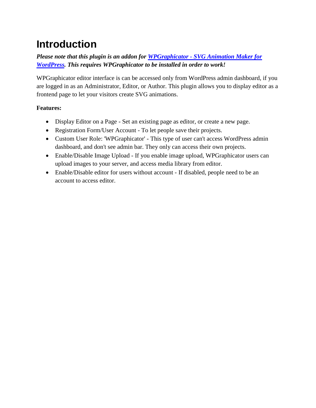## **Introduction**

### *Please note that this plugin is an addon for WPGraphicator - [SVG Animation Maker for](https://codecanyon.net/item/wpgraphicator-svg-animation-maker-for-wordpress/31873754)  [WordPress.](https://codecanyon.net/item/wpgraphicator-svg-animation-maker-for-wordpress/31873754) This requires WPGraphicator to be installed in order to work!*

WPGraphicator editor interface is can be accessed only from WordPress admin dashboard, if you are logged in as an Administrator, Editor, or Author. This plugin allows you to display editor as a frontend page to let your visitors create SVG animations.

#### **Features:**

- Display Editor on a Page Set an existing page as editor, or create a new page.
- Registration Form/User Account To let people save their projects.
- Custom User Role: 'WPGraphicator' This type of user can't access WordPress admin dashboard, and don't see admin bar. They only can access their own projects.
- Enable/Disable Image Upload If you enable image upload, WPGraphicator users can upload images to your server, and access media library from editor.
- Enable/Disable editor for users without account If disabled, people need to be an account to access editor.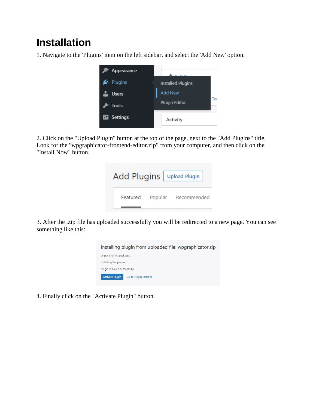## **Installation**

1. Navigate to the 'Plugins' item on the left sidebar, and select the 'Add New' option.



2. Click on the "Upload Plugin" button at the top of the page, next to the "Add Plugins" title. Look for the "wpgraphicator-frontend-editor.zip" from your computer, and then click on the "Install Now" button.

| Add Plugins   Upload Plugin |         |             |
|-----------------------------|---------|-------------|
| Featured                    | Popular | Recommended |

3. After the .zip file has uploaded successfully you will be redirected to a new page. You can see something like this:



4. Finally click on the "Activate Plugin" button.